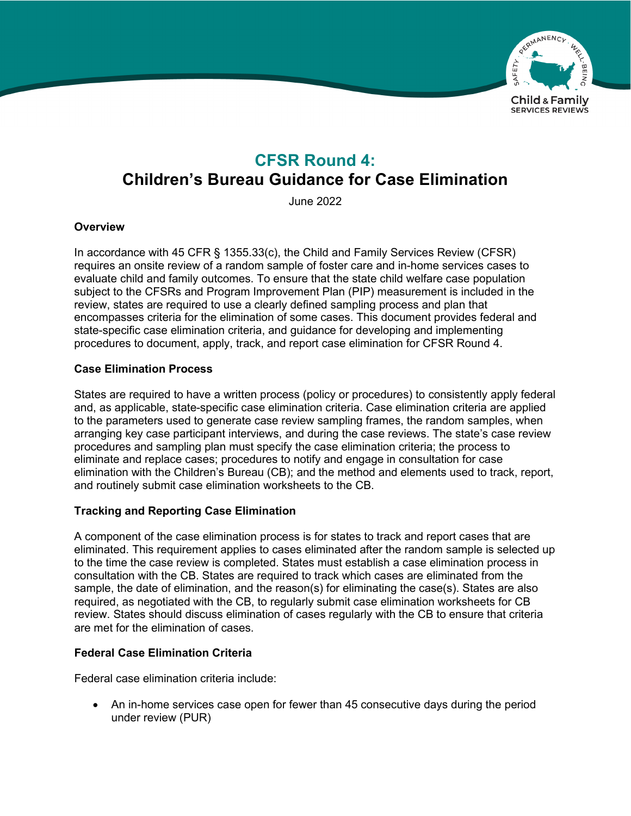

# **CFSR Round 4: Children's Bureau Guidance for Case Elimination**

June 2022

# **Overview**

In accordance with 45 CFR § 1355.33(c), the Child and Family Services Review (CFSR) requires an onsite review of a random sample of foster care and in-home services cases to evaluate child and family outcomes. To ensure that the state child welfare case population subject to the CFSRs and Program Improvement Plan (PIP) measurement is included in the review, states are required to use a clearly defined sampling process and plan that encompasses criteria for the elimination of some cases. This document provides federal and state-specific case elimination criteria, and guidance for developing and implementing procedures to document, apply, track, and report case elimination for CFSR Round 4.

# **Case Elimination Process**

States are required to have a written process (policy or procedures) to consistently apply federal and, as applicable, state-specific case elimination criteria. Case elimination criteria are applied to the parameters used to generate case review sampling frames, the random samples, when arranging key case participant interviews, and during the case reviews. The state's case review procedures and sampling plan must specify the case elimination criteria; the process to eliminate and replace cases; procedures to notify and engage in consultation for case elimination with the Children's Bureau (CB); and the method and elements used to track, report, and routinely submit case elimination worksheets to the CB.

#### **Tracking and Reporting Case Elimination**

A component of the case elimination process is for states to track and report cases that are eliminated. This requirement applies to cases eliminated after the random sample is selected up to the time the case review is completed. States must establish a case elimination process in consultation with the CB. States are required to track which cases are eliminated from the sample, the date of elimination, and the reason(s) for eliminating the case(s). States are also required, as negotiated with the CB, to regularly submit case elimination worksheets for CB review. States should discuss elimination of cases regularly with the CB to ensure that criteria are met for the elimination of cases.

#### **Federal Case Elimination Criteria**

Federal case elimination criteria include:

• An in-home services case open for fewer than 45 consecutive days during the period under review (PUR)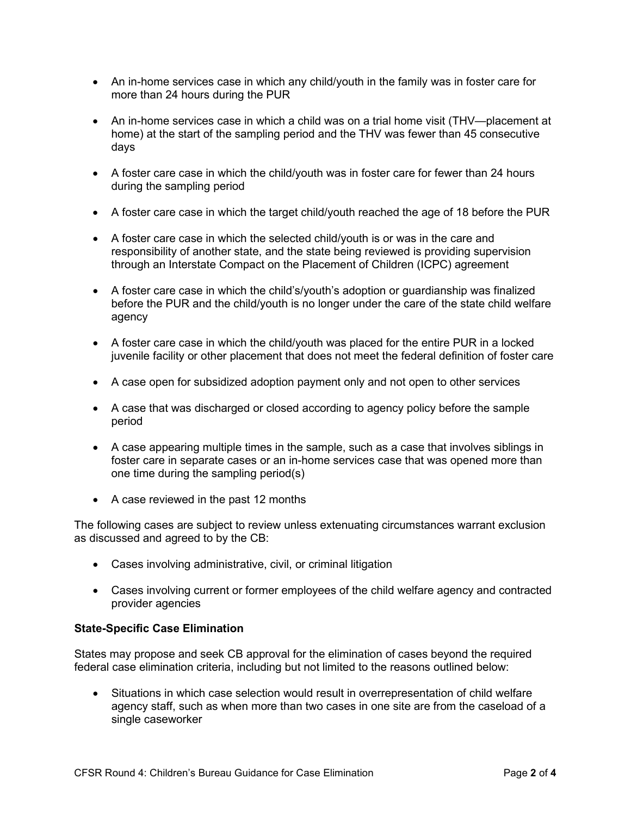- An in-home services case in which any child/youth in the family was in foster care for more than 24 hours during the PUR
- An in-home services case in which a child was on a trial home visit (THV—placement at home) at the start of the sampling period and the THV was fewer than 45 consecutive days
- A foster care case in which the child/youth was in foster care for fewer than 24 hours during the sampling period
- A foster care case in which the target child/youth reached the age of 18 before the PUR
- A foster care case in which the selected child/youth is or was in the care and responsibility of another state, and the state being reviewed is providing supervision through an Interstate Compact on the Placement of Children (ICPC) agreement
- A foster care case in which the child's/youth's adoption or guardianship was finalized before the PUR and the child/youth is no longer under the care of the state child welfare agency
- A foster care case in which the child/youth was placed for the entire PUR in a locked juvenile facility or other placement that does not meet the federal definition of foster care
- A case open for subsidized adoption payment only and not open to other services
- A case that was discharged or closed according to agency policy before the sample period
- A case appearing multiple times in the sample, such as a case that involves siblings in foster care in separate cases or an in-home services case that was opened more than one time during the sampling period(s)
- A case reviewed in the past 12 months

The following cases are subject to review unless extenuating circumstances warrant exclusion as discussed and agreed to by the CB:

- Cases involving administrative, civil, or criminal litigation
- Cases involving current or former employees of the child welfare agency and contracted provider agencies

#### **State-Specific Case Elimination**

States may propose and seek CB approval for the elimination of cases beyond the required federal case elimination criteria, including but not limited to the reasons outlined below:

• Situations in which case selection would result in overrepresentation of child welfare agency staff, such as when more than two cases in one site are from the caseload of a single caseworker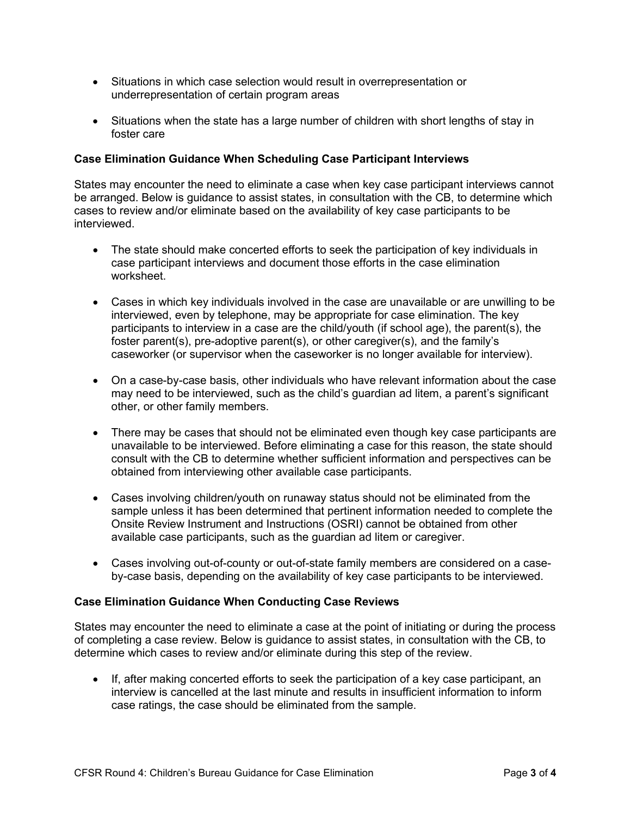- Situations in which case selection would result in overrepresentation or underrepresentation of certain program areas
- Situations when the state has a large number of children with short lengths of stay in foster care

## **Case Elimination Guidance When Scheduling Case Participant Interviews**

States may encounter the need to eliminate a case when key case participant interviews cannot be arranged. Below is guidance to assist states, in consultation with the CB, to determine which cases to review and/or eliminate based on the availability of key case participants to be interviewed.

- The state should make concerted efforts to seek the participation of key individuals in case participant interviews and document those efforts in the case elimination worksheet.
- Cases in which key individuals involved in the case are unavailable or are unwilling to be interviewed, even by telephone, may be appropriate for case elimination. The key participants to interview in a case are the child/youth (if school age), the parent(s), the foster parent(s), pre-adoptive parent(s), or other caregiver(s), and the family's caseworker (or supervisor when the caseworker is no longer available for interview).
- On a case-by-case basis, other individuals who have relevant information about the case may need to be interviewed, such as the child's guardian ad litem, a parent's significant other, or other family members.
- There may be cases that should not be eliminated even though key case participants are unavailable to be interviewed. Before eliminating a case for this reason, the state should consult with the CB to determine whether sufficient information and perspectives can be obtained from interviewing other available case participants.
- Cases involving children/youth on runaway status should not be eliminated from the sample unless it has been determined that pertinent information needed to complete the Onsite Review Instrument and Instructions (OSRI) cannot be obtained from other available case participants, such as the guardian ad litem or caregiver.
- Cases involving out-of-county or out-of-state family members are considered on a caseby-case basis, depending on the availability of key case participants to be interviewed.

#### **Case Elimination Guidance When Conducting Case Reviews**

States may encounter the need to eliminate a case at the point of initiating or during the process of completing a case review. Below is guidance to assist states, in consultation with the CB, to determine which cases to review and/or eliminate during this step of the review.

• If, after making concerted efforts to seek the participation of a key case participant, an interview is cancelled at the last minute and results in insufficient information to inform case ratings, the case should be eliminated from the sample.